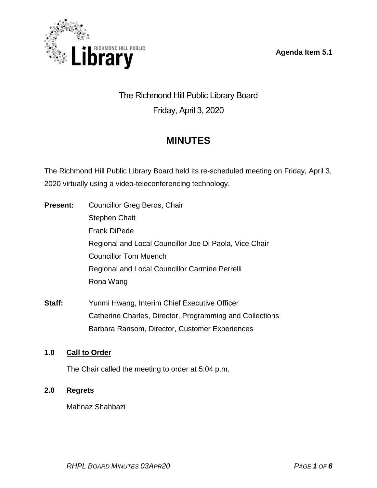**Agenda Item 5.1**



# The Richmond Hill Public Library Board Friday, April 3, 2020

# **MINUTES**

The Richmond Hill Public Library Board held its re-scheduled meeting on Friday, April 3, 2020 virtually using a video-teleconferencing technology.

- **Present:** Councillor Greg Beros, Chair Stephen Chait Frank DiPede Regional and Local Councillor Joe Di Paola, Vice Chair Councillor Tom Muench Regional and Local Councillor Carmine Perrelli Rona Wang
- **Staff:** Yunmi Hwang, Interim Chief Executive Officer Catherine Charles, Director, Programming and Collections Barbara Ransom, Director, Customer Experiences

# **1.0 Call to Order**

The Chair called the meeting to order at 5:04 p.m.

# **2.0 Regrets**

Mahnaz Shahbazi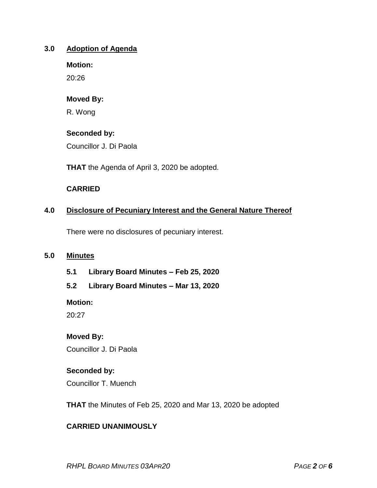#### **3.0 Adoption of Agenda**

**Motion:**

20:26

### **Moved By:**

R. Wong

# **Seconded by:**

Councillor J. Di Paola

**THAT** the Agenda of April 3, 2020 be adopted.

# **CARRIED**

# **4.0 Disclosure of Pecuniary Interest and the General Nature Thereof**

There were no disclosures of pecuniary interest.

### **5.0 Minutes**

- **5.1 Library Board Minutes – Feb 25, 2020**
- **5.2 Library Board Minutes – Mar 13, 2020**

**Motion:**

20:27

# **Moved By:**

Councillor J. Di Paola

# **Seconded by:**

Councillor T. Muench

**THAT** the Minutes of Feb 25, 2020 and Mar 13, 2020 be adopted

# **CARRIED UNANIMOUSLY**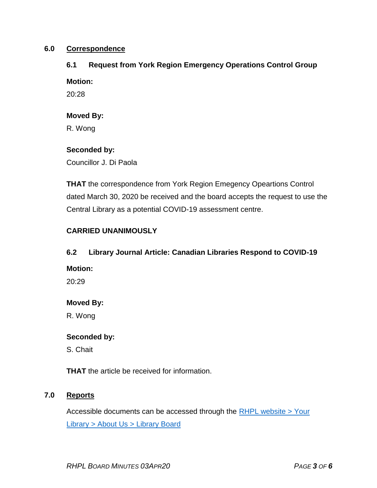#### **6.0 Correspondence**

#### **6.1 Request from York Region Emergency Operations Control Group**

#### **Motion:**

20:28

#### **Moved By:**

R. Wong

#### **Seconded by:**

Councillor J. Di Paola

**THAT** the correspondence from York Region Emegency Opeartions Control dated March 30, 2020 be received and the board accepts the request to use the Central Library as a potential COVID-19 assessment centre.

### **CARRIED UNANIMOUSLY**

#### **6.2 Library Journal Article: Canadian Libraries Respond to COVID-19**

#### **Motion:**

20:29

### **Moved By:**

R. Wong

#### **Seconded by:**

S. Chait

**THAT** the article be received for information.

### **7.0 Reports**

Accessible documents can be accessed through the  $RHPL$  website  $>$  Your Library [> About Us > Library](https://www.rhpl.ca/your-library/about-us/library-board) Board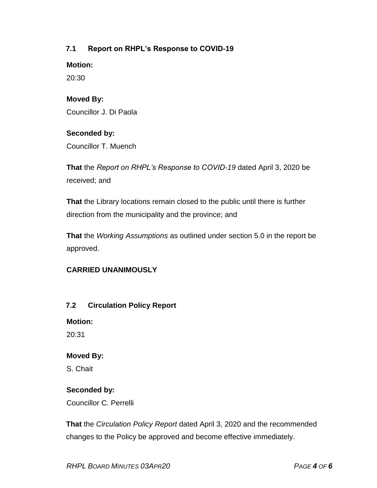# **7.1 Report on RHPL's Response to COVID-19**

**Motion:** 

20:30

# **Moved By:**

Councillor J. Di Paola

# **Seconded by:**

Councillor T. Muench

**That** the *Report on RHPL's Response to COVID-19* dated April 3, 2020 be received; and

**That** the Library locations remain closed to the public until there is further direction from the municipality and the province; and

**That** the *Working Assumptions* as outlined under section 5.0 in the report be approved.

### **CARRIED UNANIMOUSLY**

### **7.2 Circulation Policy Report**

**Motion:** 

20:31

### **Moved By:**

S. Chait

### **Seconded by:**

Councillor C. Perrelli

**That** the *Circulation Policy Report* dated April 3, 2020 and the recommended changes to the Policy be approved and become effective immediately.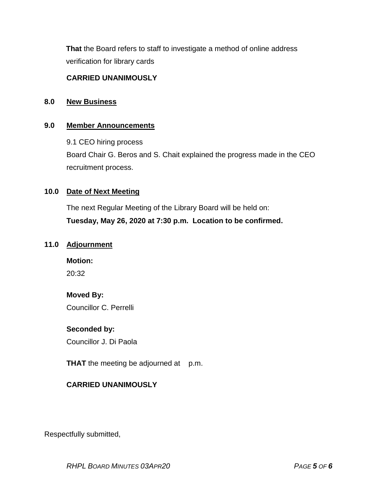**That** the Board refers to staff to investigate a method of online address verification for library cards

# **CARRIED UNANIMOUSLY**

#### **8.0 New Business**

#### **9.0 Member Announcements**

9.1 CEO hiring process

Board Chair G. Beros and S. Chait explained the progress made in the CEO recruitment process.

#### **10.0 Date of Next Meeting**

The next Regular Meeting of the Library Board will be held on: **Tuesday, May 26, 2020 at 7:30 p.m. Location to be confirmed.**

#### **11.0 Adjournment**

**Motion:**

20:32

# **Moved By:**

Councillor C. Perrelli

### **Seconded by:**

Councillor J. Di Paola

**THAT** the meeting be adjourned at p.m.

### **CARRIED UNANIMOUSLY**

Respectfully submitted,